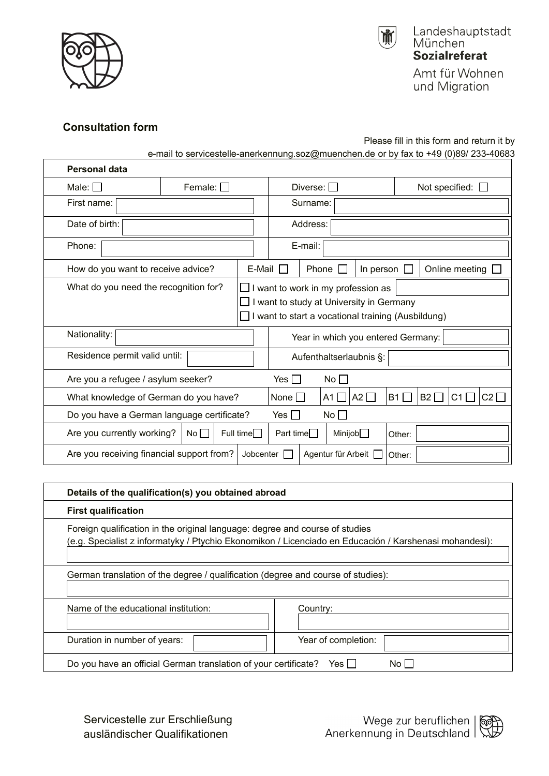

 $\sqrt{ }$ 



Amt für Wohnen und Migration

## **Consultation form**

Please fill in this form and return it by

e-mail to [servicestelle-anerkennung.soz@muenchen.de](mailto:servicestelle-anerkennung.soz@muenchen.de) or by fax to +49 (0)89/ 233-40683

| <b>Personal data</b>                                                                          |                                                                                                                                    |                  |                                    |                                                                           |         |              |                       |                       |    |             |  |
|-----------------------------------------------------------------------------------------------|------------------------------------------------------------------------------------------------------------------------------------|------------------|------------------------------------|---------------------------------------------------------------------------|---------|--------------|-----------------------|-----------------------|----|-------------|--|
| Male: $\Box$                                                                                  | Female: $\Box$                                                                                                                     |                  | Diverse: $\square$                 |                                                                           |         |              | Not specified: $\Box$ |                       |    |             |  |
| First name:                                                                                   |                                                                                                                                    |                  | Surname:                           |                                                                           |         |              |                       |                       |    |             |  |
| Date of birth:                                                                                |                                                                                                                                    |                  | Address:                           |                                                                           |         |              |                       |                       |    |             |  |
| Phone:                                                                                        |                                                                                                                                    |                  | E-mail:                            |                                                                           |         |              |                       |                       |    |             |  |
|                                                                                               | How do you want to receive advice?                                                                                                 |                  |                                    | $E$ -Mail $\Box$<br>Phone<br>In person $\Box$<br>Online meeting $\square$ |         |              |                       |                       |    |             |  |
| What do you need the recognition for?                                                         | I want to work in my profession as<br>want to study at University in Germany<br>I want to start a vocational training (Ausbildung) |                  |                                    |                                                                           |         |              |                       |                       |    |             |  |
| Nationality:                                                                                  |                                                                                                                                    |                  | Year in which you entered Germany: |                                                                           |         |              |                       |                       |    |             |  |
| Residence permit valid until:                                                                 |                                                                                                                                    |                  | Aufenthaltserlaubnis §:            |                                                                           |         |              |                       |                       |    |             |  |
| Are you a refugee / asylum seeker?                                                            | No<br>Yes $\Box$                                                                                                                   |                  |                                    |                                                                           |         |              |                       |                       |    |             |  |
| What knowledge of German do you have?                                                         |                                                                                                                                    |                  | None                               |                                                                           | A1 I    | A2 $\square$ | B1                    | B <sub>2</sub> $\Box$ | C1 | $C2$ $\Box$ |  |
| Do you have a German language certificate?<br>No $\square$<br>Yes $\Box$                      |                                                                                                                                    |                  |                                    |                                                                           |         |              |                       |                       |    |             |  |
| Are you currently working?                                                                    | No                                                                                                                                 | Full time $\Box$ | Part time $\Box$                   |                                                                           | Minijob |              | Other:                |                       |    |             |  |
| Are you receiving financial support from?<br>Jobcenter $\Box$<br>Agentur für Arbeit<br>Other: |                                                                                                                                    |                  |                                    |                                                                           |         |              |                       |                       |    |             |  |

| Details of the qualification(s) you obtained abroad                                                                                                                                    |                     |  |  |  |  |  |
|----------------------------------------------------------------------------------------------------------------------------------------------------------------------------------------|---------------------|--|--|--|--|--|
| <b>First qualification</b>                                                                                                                                                             |                     |  |  |  |  |  |
| Foreign qualification in the original language: degree and course of studies<br>(e.g. Specialist z informatyky / Ptychio Ekonomikon / Licenciado en Educación / Karshenasi mohandesi): |                     |  |  |  |  |  |
| German translation of the degree / qualification (degree and course of studies):                                                                                                       |                     |  |  |  |  |  |
| Name of the educational institution:                                                                                                                                                   | Country:            |  |  |  |  |  |
| Duration in number of years:                                                                                                                                                           | Year of completion: |  |  |  |  |  |
| Do you have an official German translation of your certificate?<br>No Li<br>Yes III                                                                                                    |                     |  |  |  |  |  |